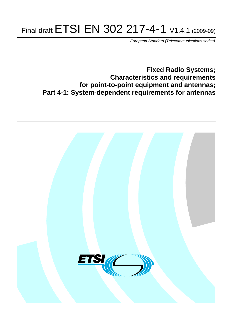# Final draft ETSI EN 302 217-4-1 V1.4.1 (2009-09)

*European Standard (Telecommunications series)*

**Fixed Radio Systems; Characteristics and requirements for point-to-point equipment and antennas; Part 4-1: System-dependent requirements for antennas**

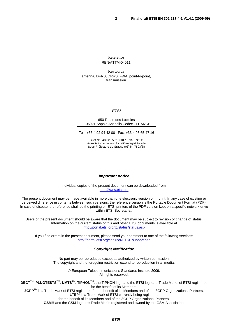Reference REN/ATTM-04011

Keywords antenna, DFRS, DRRS, FWA, point-to-point, transmission

#### *ETSI*

#### 650 Route des Lucioles F-06921 Sophia Antipolis Cedex - FRANCE

Tel.: +33 4 92 94 42 00 Fax: +33 4 93 65 47 16

Siret N° 348 623 562 00017 - NAF 742 C Association à but non lucratif enregistrée à la Sous-Préfecture de Grasse (06) N° 7803/88

#### *Important notice*

Individual copies of the present document can be downloaded from: [http://www.etsi.org](http://www.etsi.org/)

The present document may be made available in more than one electronic version or in print. In any case of existing or perceived difference in contents between such versions, the reference version is the Portable Document Format (PDF). In case of dispute, the reference shall be the printing on ETSI printers of the PDF version kept on a specific network drive within ETSI Secretariat.

Users of the present document should be aware that the document may be subject to revision or change of status. Information on the current status of this and other ETSI documents is available at <http://portal.etsi.org/tb/status/status.asp>

If you find errors in the present document, please send your comment to one of the following services: [http://portal.etsi.org/chaircor/ETSI\\_support.asp](http://portal.etsi.org/chaircor/ETSI_support.asp)

#### *Copyright Notification*

No part may be reproduced except as authorized by written permission. The copyright and the foregoing restriction extend to reproduction in all media.

> © European Telecommunications Standards Institute 2009. All rights reserved.

**DECT**TM, **PLUGTESTS**TM, **UMTS**TM, **TIPHON**TM, the TIPHON logo and the ETSI logo are Trade Marks of ETSI registered for the benefit of its Members.

**3GPP**TM is a Trade Mark of ETSI registered for the benefit of its Members and of the 3GPP Organizational Partners. **LTE**™ is a Trade Mark of ETSI currently being registered

for the benefit of its Members and of the 3GPP Organizational Partners.

**GSM**® and the GSM logo are Trade Marks registered and owned by the GSM Association.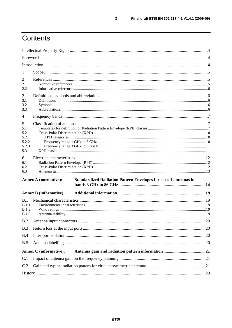# Contents

| 1                                                 |                               |                                                                         |     |
|---------------------------------------------------|-------------------------------|-------------------------------------------------------------------------|-----|
| $\overline{2}$<br>2.1<br>2.2                      |                               |                                                                         |     |
| 3<br>3.1<br>3.2<br>3.3                            |                               |                                                                         |     |
| $\overline{4}$                                    |                               |                                                                         |     |
| 5<br>5.1<br>5.2<br>5.2.1<br>5.2.2<br>5.2.3<br>5.3 |                               |                                                                         |     |
| 6<br>6.1<br>6.2<br>6.3                            |                               |                                                                         |     |
|                                                   | <b>Annex A (normative):</b>   | <b>Standardized Radiation Pattern Envelopes for class 1 antennas in</b> |     |
|                                                   | <b>Annex B</b> (informative): |                                                                         |     |
| B.1<br>B.1.1<br><b>B.1.2</b><br>B.1.3             |                               |                                                                         |     |
| B.2                                               |                               |                                                                         | .20 |
| B.3                                               |                               |                                                                         |     |
| B.4                                               |                               |                                                                         |     |
| B.5                                               |                               |                                                                         |     |
|                                                   | <b>Annex C</b> (informative): |                                                                         |     |
| C.1                                               |                               |                                                                         |     |
| C.2                                               |                               |                                                                         |     |
|                                                   |                               |                                                                         |     |

 $\mathbf{3}$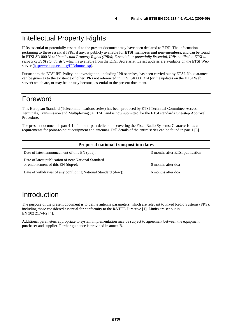# Intellectual Property Rights

IPRs essential or potentially essential to the present document may have been declared to ETSI. The information pertaining to these essential IPRs, if any, is publicly available for **ETSI members and non-members**, and can be found in ETSI SR 000 314: *"Intellectual Property Rights (IPRs); Essential, or potentially Essential, IPRs notified to ETSI in respect of ETSI standards"*, which is available from the ETSI Secretariat. Latest updates are available on the ETSI Web server ([http://webapp.etsi.org/IPR/home.asp\)](http://webapp.etsi.org/IPR/home.asp).

Pursuant to the ETSI IPR Policy, no investigation, including IPR searches, has been carried out by ETSI. No guarantee can be given as to the existence of other IPRs not referenced in ETSI SR 000 314 (or the updates on the ETSI Web server) which are, or may be, or may become, essential to the present document.

# Foreword

This European Standard (Telecommunications series) has been produced by ETSI Technical Committee Access, Terminals, Transmission and Multiplexing (ATTM), and is now submitted for the ETSI standards One-step Approval Procedure.

The present document is part 4-1 of a multi-part deliverable covering the Fixed Radio Systems; Characteristics and requirements for point-to-point equipment and antennas. Full details of the entire series can be found in part 1 [3].

| <b>Proposed national transposition dates</b>                                                |                                 |  |  |
|---------------------------------------------------------------------------------------------|---------------------------------|--|--|
| Date of latest announcement of this EN (doa):                                               | 3 months after ETSI publication |  |  |
| Date of latest publication of new National Standard<br>or endorsement of this $EN$ (dop/e): | 6 months after doa              |  |  |
| Date of withdrawal of any conflicting National Standard (dow):                              | 6 months after doa              |  |  |

# Introduction

The purpose of the present document is to define antenna parameters, which are relevant to Fixed Radio Systems (FRS), including those considered essential for conformity to the R&TTE Directive [1]. Limits are set out in EN 302 217-4-2 [4].

Additional parameters appropriate to system implementation may be subject to agreement between the equipment purchaser and supplier. Further guidance is provided in annex B.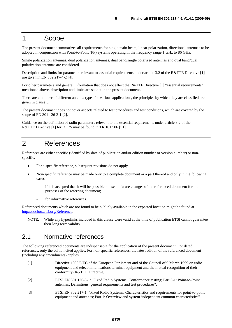#### 1 Scope

The present document summarizes all requirements for single main beam, linear polarization, directional antennas to be adopted in conjunction with Point-to-Point (PP) systems operating in the frequency range 1 GHz to 86 GHz.

Single polarization antennas, dual polarization antennas, dual band/single polarized antennas and dual band/dual polarization antennas are considered.

Description and limits for parameters relevant to essential requirements under article 3.2 of the R&TTE Directive [1] are given in EN 302 217-4-2 [4].

For other parameters and general information that does not affect the R&TTE Directive [1] "essential requirements" mentioned above, description and limits are set out in the present document.

There are a number of different antenna types for various applications, the principles by which they are classified are given in clause 5.

The present document does not cover aspects related to test procedures and test conditions, which are covered by the scope of EN 301 126-3-1 [2].

Guidance on the definition of radio parameters relevant to the essential requirements under article 3.2 of the R&TTE Directive [1] for DFRS may be found in TR 101 506 [i.1].

### 2 References

References are either specific (identified by date of publication and/or edition number or version number) or nonspecific.

- For a specific reference, subsequent revisions do not apply.
- Non-specific reference may be made only to a complete document or a part thereof and only in the following cases:
	- if it is accepted that it will be possible to use all future changes of the referenced document for the purposes of the referring document;
	- for informative references.

Referenced documents which are not found to be publicly available in the expected location might be found at [http://docbox.etsi.org/Reference.](http://docbox.etsi.org/Reference)

NOTE: While any hyperlinks included in this clause were valid at the time of publication ETSI cannot guarantee their long term validity.

#### 2.1 Normative references

The following referenced documents are indispensable for the application of the present document. For dated references, only the edition cited applies. For non-specific references, the latest edition of the referenced document (including any amendments) applies.

- [1] Directive 1999/5/EC of the European Parliament and of the Council of 9 March 1999 on radio equipment and telecommunications terminal equipment and the mutual recognition of their conformity (R&TTE Directive).
- [2] ETSI EN 301 126-3-1: "Fixed Radio Systems; Conformance testing; Part 3-1: Point-to-Point antennas; Definitions, general requirements and test procedures".
- [3] ETSI EN 302 217-1: "Fixed Radio Systems; Characteristics and requirements for point-to-point equipment and antennas; Part 1: Overview and system-independent common characteristics".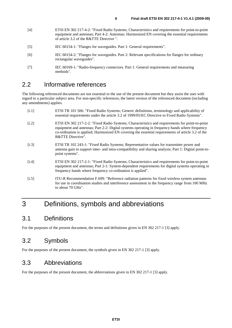- [4] ETSI EN 302 217-4-2: "Fixed Radio Systems; Characteristics and requirements for point-to-point equipment and antennas; Part 4-2: Antennas; Harmonized EN covering the essential requirements of article 3.2 of the R&TTE Directive ".
- [5] IEC 60154-1: "Flanges for waveguides. Part 1: General requirements".
- [6] IEC 60154-2: "Flanges for waveguides. Part 2: Relevant specifications for flanges for ordinary rectangular waveguides".
- [7] IEC 60169-1: "Radio-frequency connectors. Part 1: General requirements and measuring methods".

#### 2.2 Informative references

The following referenced documents are not essential to the use of the present document but they assist the user with regard to a particular subject area. For non-specific references, the latest version of the referenced document (including any amendments) applies.

- [i.1] ETSI TR 101 506: "Fixed Radio Systems; Generic definitions, terminology and applicability of essential requirements under the article 3.2 of 1999/05/EC Directive to Fixed Radio Systems".
- [i.2] ETSI EN 302 217-2-2: "Fixed Radio Systems; Characteristics and requirements for point-to-point equipment and antennas; Part 2-2: Digital systems operating in frequency bands where frequency co-ordination is applied; Harmonized EN covering the essential requirements of article 3.2 of the R&TTE Directive".
- [i.3] ETSI TR 102 243-1: "Fixed Radio Systems; Representative values for transmitter power and antenna gain to support inter- and intra-compatibility and sharing analysis; Part 1: Digital point-topoint systems".
- [i.4] ETSI EN 302 217-2-1: "Fixed Radio Systems; Characteristics and requirements for point-to-point equipment and antennas; Part 2-1: System-dependent requirements for digital systems operating in frequency bands where frequency co-ordination is applied".
- [i.5] ITU-R Recommendation F.699: "Reference radiation patterns for fixed wireless system antennas for use in coordination studies and interference assessment in the frequency range from 100 MHz to about 70 GHz".

# 3 Definitions, symbols and abbreviations

#### 3.1 Definitions

For the purposes of the present document, the terms and definitions given in EN 302 217-1 [3] apply.

#### 3.2 Symbols

For the purposes of the present document, the symbols given in EN 302 217-1 [3] apply.

#### 3.3 Abbreviations

For the purposes of the present document, the abbreviations given in EN 302 217-1 [3] apply.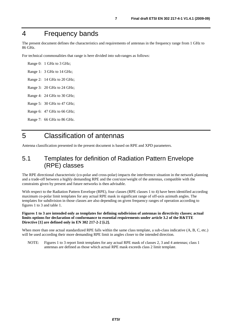# 4 Frequency bands

The present document defines the characteristics and requirements of antennas in the frequency range from 1 GHz to 86 GHz.

For technical commonalities that range is here divided into sub-ranges as follows:

Range 0: 1 GHz to 3 GHz; Range 1: 3 GHz to 14 GHz; Range 2: 14 GHz to 20 GHz; Range 3: 20 GHz to 24 GHz; Range 4: 24 GHz to 30 GHz; Range 5: 30 GHz to 47 GHz; Range 6: 47 GHz to 66 GHz; Range 7: 66 GHz to 86 GHz.

# 5 Classification of antennas

Antenna classification presented in the present document is based on RPE and XPD parameters.

#### 5.1 Templates for definition of Radiation Pattern Envelope (RPE) classes

The RPE directional characteristic (co-polar and cross-polar) impacts the interference situation in the network planning and a trade-off between a highly demanding RPE and the cost/size/weight of the antennas, compatible with the constraints given by present and future networks is then advisable.

With respect to the Radiation Pattern Envelope (RPE), four classes (RPE classes 1 to 4) have been identified according maximum co-polar limit templates for any actual RPE mask in significant range of off-axis azimuth angles. The templates for subdivision in those classes are also depending on given frequency ranges of operation according to figures 1 to 3 and table 1.

#### **Figures 1 to 3 are intended only as templates for defining subdivision of antennas in directivity classes; actual limits options for declaration of conformance to essential requirements under article 3.2 of the R&TTE Directive [1] are defined only in EN 302 217-2-2 [i.2].**

When more than one actual standardized RPE falls within the same class template, a sub-class indicative  $(A, B, C, etc.)$ will be used according their more demanding RPE limit in angles closer to the intended direction.

NOTE: Figures 1 to 3 report limit templates for any actual RPE mask of classes 2, 3 and 4 antennas; class 1 antennas are defined as those which actual RPE mask exceeds class 2 limit template.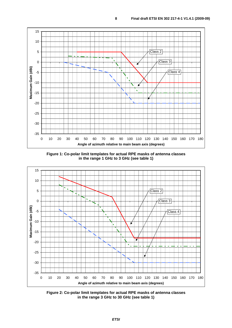

**Figure 1: Co-polar limit templates for actual RPE masks of antenna classes in the range 1 GHz to 3 GHz (see table 1)** 



**Figure 2: Co-polar limit templates for actual RPE masks of antenna classes in the range 3 GHz to 30 GHz (see table 1)**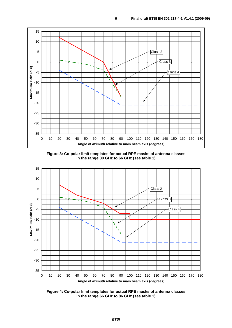

**Figure 3: Co-polar limit templates for actual RPE masks of antenna classes in the range 30 GHz to 66 GHz (see table 1)** 



**Figure 4: Co-polar limit templates for actual RPE masks of antenna classes in the range 66 GHz to 86 GHz (see table 1)**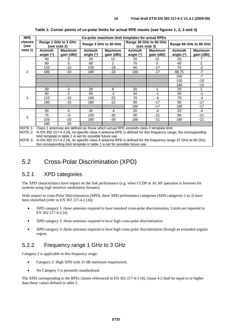| <b>RPE</b>      | Co-polar maximum limit templates for actual RPEs |                                      |                             |                              |                                        |                              |                             |                              |
|-----------------|--------------------------------------------------|--------------------------------------|-----------------------------|------------------------------|----------------------------------------|------------------------------|-----------------------------|------------------------------|
| classes<br>(see |                                                  | Range 1 GHz to 3 GHz<br>(see note 2) |                             | Range 3 GHz to 30 GHz        | Range 30 GHz to 66 GHz<br>(see note 3) |                              | Range 66 GHz to 86 GHz      |                              |
| note 1)         | <b>Azimuth</b><br>angle (°)                      | <b>Maximum</b><br>gain (dBi)         | <b>Azimuth</b><br>angle (°) | <b>Maximum</b><br>gain (dBi) | <b>Azimuth</b><br>angle (°)            | <b>Maximum</b><br>gain (dBi) | <b>Azimuth</b><br>angle (°) | <b>Maximum</b><br>gain (dBi) |
|                 | 40                                               | 5                                    | 20                          | 12                           | 20                                     | 12                           | 20                          | 7                            |
|                 | 90                                               | 5                                    | 80                          | 2                            | 70                                     | $\Omega$                     | 40                          | 2                            |
|                 | 120                                              | $-10$                                | 105                         | $-18$                        | 90                                     | $-17$                        | 70                          | $-2$                         |
| $\mathcal{P}$   | 180                                              | $-10$                                | 180                         | $-18$                        | 180                                    | $-17$                        | 88,75                       | $-7$                         |
|                 |                                                  |                                      |                             |                              |                                        |                              | 100                         | $-7$                         |
|                 |                                                  |                                      |                             |                              |                                        |                              | 100                         | $-10$                        |
|                 |                                                  |                                      |                             |                              |                                        |                              | 180                         | -10                          |
|                 | 30                                               | 3                                    | 20                          | 8                            | 20                                     | 1                            | 20                          | 1                            |
|                 | 80                                               | $\overline{2}$                       | 65                          | $-2$                         | 50                                     | $-1$                         | 50                          | $-1$                         |
| 3               | 110                                              | $-15$                                | 100                         | $-22$                        | 70                                     | $-4$                         | 70                          | $-4$                         |
|                 | 180                                              | $-15$                                | 180                         | $-22$                        | 90                                     | $-17$                        | 90                          | $-17$                        |
|                 |                                                  |                                      |                             |                              | 180                                    | $-17$                        | 180                         | $-17$                        |
|                 | 25                                               | 0                                    | 20                          | -4                           | 20                                     | $-4$                         | 20                          | $-4$                         |
| 4               | 75                                               | $-5$                                 | 105                         | -30                          | 90                                     | $-21$                        | 90                          | $-21$                        |
|                 | 105                                              | $-20$                                | 180                         | -30                          | 180                                    | $-21$                        | 180                         | $-21$                        |
|                 | 180                                              | -20                                  |                             |                              |                                        |                              |                             |                              |

**Table 1: Corner points of co-polar limits for actual RPE masks (see figures 1, 2, 3 and 4)** 

NOTE 1: Class 1 antennas are defined as those which actual RPE exceeds class 2 template limit.

NOTE 2: In EN 302 217-4-2 [4], no specific class 4 antenna RPE is defined for this frequency range; the corresponding limit template in table 1 is set for possible future use.

NOTE 3: In EN 302 217-4-2 [4], no specific class 4 antenna RPE is defined for the frequency range 47 GHz to 66 GHz; the corresponding limit template in table 1 is set for possible future use.

#### 5.2 Cross-Polar Discrimination (XPD)

#### 5.2.1 XPD categories

The XPD characteristics have impact on the link performance (e.g. when CCDP or ACAP operation is foreseen for systems using high sensitive modulation formats).

With respect to cross-Polar Discrimination (XPD), three XPD performance categories (XPD categories 1 to 3) have been identified (refer to EN 302 217-4-2 [4]):

- XPD category 1: those antennas required to have standard cross-polar discrimination. Limits are reported in EN 302 217-4-2 [4].
- XPD category 2: those antennas required to have high cross-polar discrimination.
- XPD category 3: those antennas required to have high cross-polar discrimination through an extended angular region.

#### 5.2.2 Frequency range 1 GHz to 3 GHz

Category 2 is applicable to this frequency range:

- Category 2: High XPD with 25 dB minimum requirement.
- No Category 3 is presently standardized.

The XPD corresponding to the RPEs classes referenced in EN 302 217-4-2 [4], clause 4.2 shall be equal to or higher than those values defined in table 2.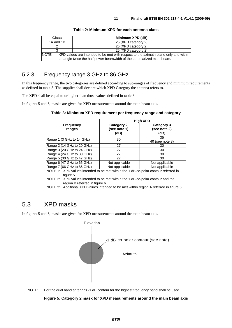| <b>Class</b> | Minimum XPD (dB)                                                                    |
|--------------|-------------------------------------------------------------------------------------|
| 1A and 1B    | 25 (XPD category 2)                                                                 |
|              | 25 (XPD category 2)                                                                 |
|              | 25 (XPD category 2)                                                                 |
| INOTE:       | XPD values are intended to be met with respect to the azimuth plane only and within |
|              | an angle twice the half power beamwidth of the co-polarized main beam.              |

#### **Table 2: Minimum XPD for each antenna class**

#### 5.2.3 Frequency range 3 GHz to 86 GHz

In this frequency range, the two categories are defined according to sub-ranges of frequency and minimum requirements as defined in table 3. The supplier shall declare which XPD Category the antenna refers to.

The XPD shall be equal to or higher than those values defined in table 3.

In figures 5 and 6, masks are given for XPD measurements around the main beam axis.

|                                                                                                                  |                                           | <b>High XPD</b>                    |
|------------------------------------------------------------------------------------------------------------------|-------------------------------------------|------------------------------------|
| <b>Frequency</b><br>ranges                                                                                       | <b>Category 2</b><br>(see note 1)<br>(dB) | Category 3<br>(see note 2)<br>(dB) |
| Range 1 (3 GHz to 14 GHz)                                                                                        | 30                                        | 35<br>40 (see note 3)              |
| Range 2 (14 GHz to 20 GHz)                                                                                       | 27                                        | 30                                 |
| Range 3 (20 GHz to 24 GHz)                                                                                       | 27                                        | 30                                 |
| Range 4 (24 GHz to 30 GHz)                                                                                       | 27                                        | 30                                 |
| Range 5 (30 GHz to 47 GHz)                                                                                       | 27                                        | 30                                 |
| Range 6 (47 GHz to 66 GHz)                                                                                       | Not applicable                            | Not applicable                     |
| Range 7 (66 GHz to 86 GHz)                                                                                       | Not applicable                            | Not applicable                     |
| NOTE 1: XPD values intended to be met within the 1 dB co-polar contour referred in<br>figure 5.                  |                                           |                                    |
| NOTE 2: XPD values intended to be met within the 1 dB co-polar contour and the<br>region B referred in figure 6. |                                           |                                    |
| NOTE 3: Additional XPD values intended to be met within region A referred in figure 6.                           |                                           |                                    |

### 5.3 XPD masks

In figures 5 and 6, masks are given for XPD measurements around the main beam axis.



NOTE: For the dual band antennas -1 dB contour for the highest frequency band shall be used.

#### **Figure 5: Category 2 mask for XPD measurements around the main beam axis**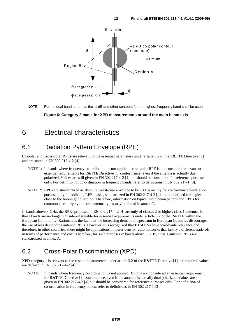

NOTE: For the dual band antennas the -1 dB and other contours for the highest frequency band shall be used.

#### **Figure 6: Category 3 mask for XPD measurements around the main beam axis**

### 6 Electrical characteristics

### 6.1 Radiation Pattern Envelope (RPE)

Co-polar and Cross-polar RPEs are relevant to the essential parameters under article 3.2 of the R&TTE Directive [1] and are stated in EN 302 217-4-2 [4].

- NOTE 1: In bands where frequency co-ordination is not applied, cross-polar RPE is not considered relevant to essential requirements for R&TTE Directive [1] conformance, even if the antenna is actually dual polarized. Values are still given in EN 302 217-4-2 [4] but should be considered for reference purposes only. For definition of co-ordination in frequency bands, refer to definitions in EN 302 217-1 [3].
- NOTE 2: RPEs are standardized as absolute worst-case envelope to be 100 % met by for conformance declaration purpose only. In addition, RPE masks, standardized in EN 302 217-4-2 [4] are not defined for angles close to the bore-sight direction. Therefore, information on typical main beam pattern and RPEs for common circularly-symmetric antenna types may be found in annex C.

In bands above 3 GHz, the RPEs proposed in EN 302 217-4-2 [4] are only of classes 2 or higher; class 1 antennas in those bands are no longer considered suitable for essential requirements under article 3.2 of the R&TTE within the European Community. Rationale is the fact that the increasing demand of spectrum in European Countries discourages the use of less demanding antenna RPEs. However, it is recognized that ETSI ENs have worldwide relevance and therefore, in other countries, there might be applications in lower density radio networks that justify a different trade-off in terms of performance and cost. Therefore, for such purposes in bands above 3 GHz, class 1 antenna RPEs are standardized in annex A.

### 6.2 Cross-Polar Discrimination (XPD)

XPD category 1 is relevant to the essential parameters under article 3.2 of the R&TTE Directive [1] and required values are defined in EN 302 217-4-2 [4].

NOTE: In bands where frequency co-ordination is not applied, XPD is not considered an essential requirement for R&TTE Directive [1] conformance, even if the antenna is actually dual polarized. Values are still given in EN 302 217-4-2 [4] but should be considered for reference purposes only. For definition of co-ordination in frequency bands, refer to definitions in EN 302 217-1 [3].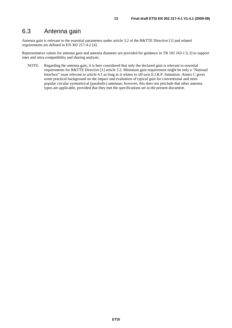### 6.3 Antenna gain

Antenna gain is relevant to the essential parameters under article 3.2 of the R&TTE Directive [1] and related requirements are defined in EN 302 217-4-2 [4].

Representative values for antenna gain and antenna diameter are provided for guidance in TR 102 243-1 [i.3] to support inter and intra-compatibility and sharing analysis.

NOTE: Regarding the antenna gain, it is here considered that only the declared gain is relevant to essential requirements for R&TTE Directive [1] article 3.2. Minimum gain requirement might be only a "National Interface" issue relevant to article 4.1 as long as it relates to off-axis E.I.R.P. limitation. Annex C gives some practical background on the impact and evaluation of typical gain for conventional and most popular circular symmetrical (parabolic) antennas; however, this does not preclude that other antenna types are applicable, provided that they met the specifications set in the present document.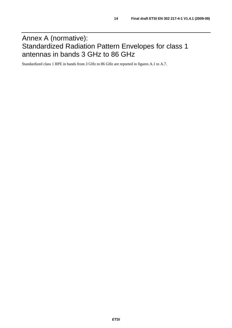# Annex A (normative): Standardized Radiation Pattern Envelopes for class 1 antennas in bands 3 GHz to 86 GHz

Standardized class 1 RPE in bands from 3 GHz to 86 GHz are reported in figures A.1 to A.7.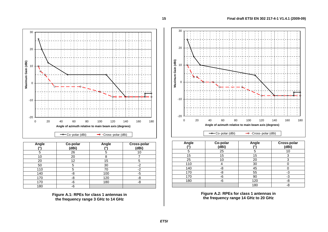

| Angle | Co-polar<br>(dBi) | Angle | Cross-polar<br>(dBi) |
|-------|-------------------|-------|----------------------|
| 5     | 26                | 5     | 10                   |
| 10    | 20                | 8     |                      |
| 20    | 12                | 15    | 5                    |
| 50    | 5                 | 30    | -2                   |
| 110   | 5                 | 70    | $-2$                 |
| 140   | -8                | 100   | -5                   |
| 170   | -8                | 120   | -8                   |
| 170   | -6                | 180   | -8                   |
| 180   | -6                |       |                      |

**Figure A.1: RPEs for class 1 antennas in the frequency range 3 GHz to 14 GHz** 



| Angle<br>701 | Co-polar<br>(dBi) | Angle<br>70 | Cross-polar<br>(dBi) |
|--------------|-------------------|-------------|----------------------|
| 5            | 25                | 5           | 10                   |
| 15           | 15                | 15          | 3                    |
| 25           | 10                | 20          | っ                    |
| 110          |                   | 30          |                      |
| 140          | -8                | 45          |                      |
| 170          | -8                | 55          | -3                   |
| 170          | -6                | 90          | -3                   |
| 180          | -6                | 120         | -8                   |
|              |                   | 180         | -8                   |

**Figure A.2: RPEs for class 1 antennas in the frequency range 14 GHz to 20 GHz**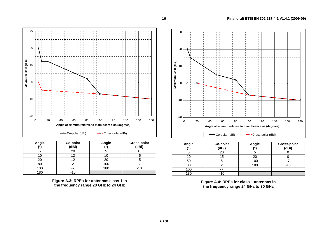

| Angle | Co-polar<br>(dBi) | Angle<br>70 | Cross-polar<br>(dBi) |
|-------|-------------------|-------------|----------------------|
|       | 20                |             |                      |
|       | 12                |             |                      |
| 20    |                   | 20          |                      |
| 80    |                   | 100         |                      |
| 100   |                   | 180         | - 1                  |
| 180   |                   |             |                      |

**Figure A.3: RPEs for antennas class 1 in the frequency range 20 GHz to 24 GHz** 



| Angle | Co-polar<br>(dBi) | Angle | <b>Cross-polar</b><br>(dBi) |
|-------|-------------------|-------|-----------------------------|
|       |                   |       |                             |
|       | 5،                | 20    |                             |
| 50    |                   | 100   |                             |
| 80    |                   | 180   |                             |
| 100   |                   |       |                             |
| 180   | -10               |       |                             |

**Figure A.4: RPEs for class 1 antennas in the frequency range 24 GHz to 30 GHz**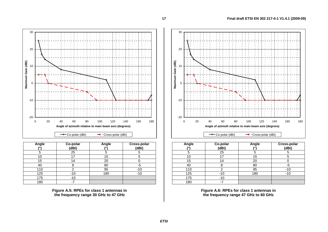

| Angle | Co-polar<br>(dBi) | Angle | Cross-polar<br>(dBi) |
|-------|-------------------|-------|----------------------|
|       | 25                |       |                      |
| 10    | 17                | 15    | 5                    |
| 15    | 14                | 20    |                      |
| 40    |                   | 80    | -5                   |
| 110   |                   | 95    | $-10$                |
| 125   | -10               | 180   | $-10$                |
| 175   | $-10$             |       |                      |
| 180   |                   |       |                      |

**Figure A.5: RPEs for class 1 antennas in the frequency range 30 GHz to 47 GHz** 



| Angle<br>701 | Co-polar<br>(dBi) | Angle | Cross-polar<br>(dBi) |
|--------------|-------------------|-------|----------------------|
|              | 25                |       |                      |
| 10           | 17                | 15    |                      |
| 15           | 14                | 20    |                      |
| 40           | 8                 | 80    | -5                   |
| 110          |                   | 95    | $-10$                |
| 125          | $-10$             | 180   | $-10$                |
| 175          | -10               |       |                      |
| 180          |                   |       |                      |

**Figure A.6: RPEs for class 1 antennas in the frequency range 47 GHz to 60 GHz**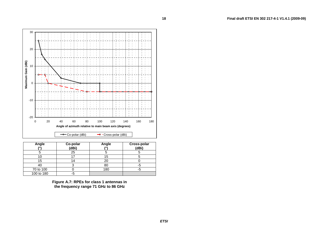

| Angle<br>$\overline{10}$ | Co-polar<br>(dBi) | Angle | Cross-polar<br>(dBi) |
|--------------------------|-------------------|-------|----------------------|
|                          | 25                |       |                      |
|                          |                   | 15    |                      |
| 15                       | $\overline{4}$    | 20    |                      |
| 40                       |                   | 80    |                      |
| 70 to 100                |                   | 180   |                      |
| 100 to 180               | -5                |       |                      |

**Figure A.7: RPEs for class 1 antennas in the frequency range 71 GHz to 86 GHz** 

**18**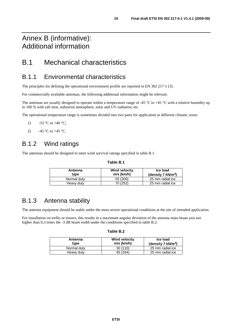# Annex B (informative): Additional information

# B.1 Mechanical characteristics

### B.1.1 Environmental characteristics

The principles for defining the operational environment profile are reported in EN 302 217-1 [3].

For commercially available antennas, the following additional information might be relevant.

The antennas are usually designed to operate within a temperature range of -45  $\degree$ C to +45  $\degree$ C with a relative humidity up to 100 % with salt mist, industrial atmosphere, solar and UV-radiation, etc.

The operational temperature range is sometimes divided into two parts for application in different climatic areas:

- 1)  $-33 \text{ °C}$  to  $+40 \text{ °C}$ ;
- 2)  $-45 \degree C$  to  $+45 \degree C$ .

### B.1.2 Wind ratings

The antennas should be designed to meet wind survival ratings specified in table B.1.

#### **Table B.1**

| Antenna<br>type | <b>Wind velocity</b><br>$m/s$ (km/h) | Ice load<br>(density $7 \text{ kN/m}^3$ ) |
|-----------------|--------------------------------------|-------------------------------------------|
| Normal duty     | 55 (200)                             | 25 mm radial ice                          |
| Heavy duty      | 70 (252)                             | 25 mm radial ice                          |

### B.1.3 Antenna stability

The antenna equipment should be stable under the most severe operational conditions at the site of intended application.

For installation on trellis or towers, this results in a maximum angular deviation of the antenna main beam axis not higher than 0,3 times the -3 dB beam width under the conditions specified in table B.2.

| . able l | D. |
|----------|----|
|----------|----|

| Antenna<br>type | <b>Wind velocity</b><br>$m/s$ (km/h) | Ice load<br>(density 7 $kN/m^3$ ) |
|-----------------|--------------------------------------|-----------------------------------|
| Normal duty     | 30(110)                              | 25 mm radial ice                  |
| Heavy duty      | 45 (164)                             | 25 mm radial ice                  |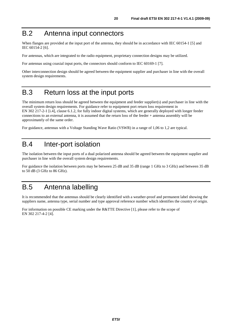# B.2 Antenna input connectors

When flanges are provided at the input port of the antenna, they should be in accordance with IEC 60154-1 [5] and IEC 60154-2 [6].

For antennas, which are integrated to the radio equipment, proprietary connection designs may be utilized.

For antennas using coaxial input ports, the connectors should conform to IEC 60169-1 [7].

Other interconnection design should be agreed between the equipment supplier and purchaser in line with the overall system design requirements.

# B.3 Return loss at the input ports

The minimum return loss should be agreed between the equipment and feeder supplier(s) and purchaser in line with the overall system design requirements. For guidance refer to equipment port return loss requirement in EN 302 217-2-1 [i.4], clause 6.1.2, for fully indoor digital systems, which are generally deployed with longer feeder connections to an external antenna, it is assumed that the return loss of the feeder + antenna assembly will be approximately of the same order.

For guidance, antennas with a Voltage Standing Wave Ratio (VSWR) in a range of 1,06 to 1,2 are typical.

### B.4 Inter-port isolation

The isolation between the input ports of a dual polarized antenna should be agreed between the equipment supplier and purchaser in line with the overall system design requirements.

For guidance the isolation between ports may be between 25 dB and 35 dB (range 1 GHz to 3 GHz) and between 35 dB to 50 dB (3 GHz to 86 GHz).

# B.5 Antenna labelling

It is recommended that the antennas should be clearly identified with a weather-proof and permanent label showing the suppliers name, antenna type, serial number and type approval reference number which identifies the country of origin.

For information on possible CE marking under the R&TTE Directive [1], please refer to the scope of EN 302 217-4-2 [4].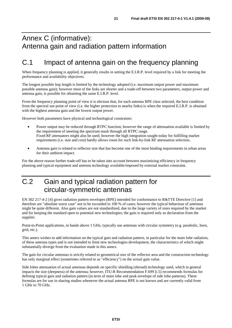# Annex C (informative): Antenna gain and radiation pattern information

# C.1 Impact of antenna gain on the frequency planning

When frequency planning is applied, it generally results in setting the E.I.R.P. level required by a link for meeting the performance and availability objectives.

The longest possible hop length is limited by the technology adopted (i.e. maximum output power and maximum possible antenna gain); however most of the links are shorter and a trade-off between two parameters, output power and antenna gain, is possible for obtaining the same E.I.R.P. level.

From the frequency planning point of view it is obvious that, for each antenna RPE class selected, the best condition from the spectral use point of view (i.e. the higher protection to nearby links) is when the required E.I.R.P. is obtained with the highest antenna gain and the lowest output power.

However both parameters have physical and technological constraints:

- Power output may be reduced through RTPC function; however the range of attenuation available is limited by the requirement of meeting the spectrum mask through all RTPC range. Fixed RF attenuators might also be used; however the high integration sought today for fulfilling market requirements (i.e. size and cost) hardly allows room for such link-by-link RF attenuation selection.
- Antenna gain is related to reflector size that has become one of the most binding requirements in urban areas for their ambient impact.

For the above reason further trade-off has to be taken into account between maximizing efficiency in frequency planning and typical equipment and antenna technology available/imposed by external market constraint.

# C.2 Gain and typical radiation pattern for circular-symmetric antennas

EN 302 217-4-2 [4] gives radiation pattern envelopes (RPE) intended for conformance to R&TTE Directive [1] and therefore are "absolute worst case" not to be exceeded in 100 % of cases; however the typical behaviour of antennas might be quite different. Also gain values are not standardized, due to the large variety of sizes required by the market and for keeping the standard open to potential new technologies; the gain is required only as declaration from the supplier.

Point-to-Point applications, in bands above 1 GHz, typically use antennas with circular symmetry (e.g. parabolic, horn, grid, etc.).

This annex wishes to add information on the typical gain and radiation pattern, in particular for the main lobe radiation, of these antenna types and is not intended to limit new technologies development, the characteristics of which might substantially diverge from the evaluation made in this annex.

The gain for circular antennas is strictly related to geometrical size of the reflector area and the construction technology has only marginal effect (sometimes referred to as "efficiency") on the actual gain value.

Side lobes attenuation of actual antennas depends on specific shielding (shroud) technology used, which in general impacts the size (deepness) of the antenna; however, ITU-R Recommendation F.699 [i.5] recommends formulas for defining typical gain and radiation pattern (in term of main lobe and peak envelope of side lobe patterns). These formulas are for use in sharing studies whenever the actual antenna RPE is not known and are currently valid from 1 GHz to 70 GHz.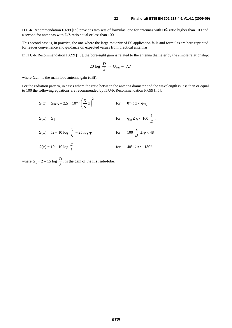ITU-R Recommendation F.699 [i.5] provides two sets of formulas, one for antennas with D/λ ratio higher than 100 and a second for antennas with D/λ ratio equal or less than 100.

This second case is, in practice, the one where the large majority of FS application falls and formulas are here reprinted for reader convenience and guidance on expected values from practical antennas.

In ITU-R Recommendation F.699 [i.5], the bore-sight gain is related to the antenna diameter by the simple relationship:

$$
20 \log \frac{D}{\lambda} \approx G_{\text{max}} - 7.7
$$

where  $G_{max}$  is the main lobe antenna gain (dBi).

For the radiation pattern, in cases where the ratio between the antenna diameter and the wavelength is less than or equal to 100 the following equations are recommended by ITU-R Recommendation F.699 [i.5]:

$$
G(\varphi) = G_{max} - 2.5 \times 10^{-3} \left(\frac{D}{\lambda}\varphi\right)^2 \qquad \text{for} \qquad 0^\circ < \varphi < \varphi_{m};
$$

$$
G(\varphi) = G_1 \qquad \qquad \text{for} \qquad \varphi_m \le \varphi < 100 \ \frac{\lambda}{D} \ ;
$$

$$
G(\varphi) = 52 - 10 \log \frac{D}{\lambda} - 25 \log \varphi \qquad \qquad \text{for} \qquad 100 \frac{\lambda}{D} \le \varphi < 48^{\circ};
$$

$$
G(\varphi) = 10 - 10 \log \frac{D}{\lambda} \qquad \qquad \text{for} \qquad 48^{\circ} \le \varphi \le 180^{\circ}.
$$

where  $G_1 = 2 + 15 \log \frac{D}{\lambda}$ , is the gain of the first side-lobe.